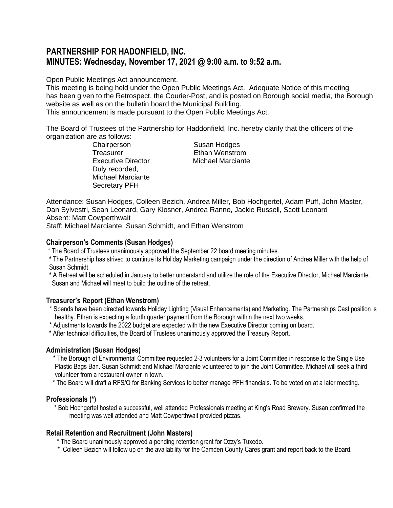# **PARTNERSHIP FOR HADONFIELD, INC. MINUTES: Wednesday, November 17, 2021 @ 9:00 a.m. to 9:52 a.m.**

Open Public Meetings Act announcement.

This meeting is being held under the Open Public Meetings Act. Adequate Notice of this meeting has been given to the Retrospect, the Courier-Post, and is posted on Borough social media, the Borough website as well as on the bulletin board the Municipal Building.

This announcement is made pursuant to the Open Public Meetings Act.

The Board of Trustees of the Partnership for Haddonfield, Inc. hereby clarify that the officers of the organization are as follows:

Chairperson Susan Hodges Treasurer Ethan Wenstrom Executive Director Michael Marciante Duly recorded, Michael Marciante Secretary PFH

Attendance: Susan Hodges, Colleen Bezich, Andrea Miller, Bob Hochgertel, Adam Puff, John Master, Dan Sylvestri, Sean Leonard, Gary Klosner, Andrea Ranno, Jackie Russell, Scott Leonard Absent: Matt Cowperthwait

Staff: Michael Marciante, Susan Schmidt, and Ethan Wenstrom

### **Chairperson's Comments (Susan Hodges)**

\* The Board of Trustees unanimously approved the September 22 board meeting minutes.

- **\*** The Partnership has strived to continue its Holiday Marketing campaign under the direction of Andrea Miller with the help of Susan Schmidt.
- **\*** A Retreat will be scheduled in January to better understand and utilize the role of the Executive Director, Michael Marciante. Susan and Michael will meet to build the outline of the retreat.

# **Treasurer's Report (Ethan Wenstrom)**

- \* Spends have been directed towards Holiday Lighting (Visual Enhancements) and Marketing. The Partnerships Cast position is healthy. Ethan is expecting a fourth quarter payment from the Borough within the next two weeks.
- \* Adjustments towards the 2022 budget are expected with the new Executive Director coming on board.
- \* After technical difficulties, the Board of Trustees unanimously approved the Treasury Report.

### **Administration (Susan Hodges)**

- \* The Borough of Environmental Committee requested 2-3 volunteers for a Joint Committee in response to the Single Use Plastic Bags Ban. Susan Schmidt and Michael Marciante volunteered to join the Joint Committee. Michael will seek a third volunteer from a restaurant owner in town.
- \* The Board will draft a RFS/Q for Banking Services to better manage PFH financials. To be voted on at a later meeting.

### **Professionals (\*)**

 \* Bob Hochgertel hosted a successful, well attended Professionals meeting at King's Road Brewery. Susan confirmed the meeting was well attended and Matt Cowperthwait provided pizzas.

### **Retail Retention and Recruitment (John Masters)**

- \* The Board unanimously approved a pending retention grant for Ozzy's Tuxedo.
- \* Colleen Bezich will follow up on the availability for the Camden County Cares grant and report back to the Board.